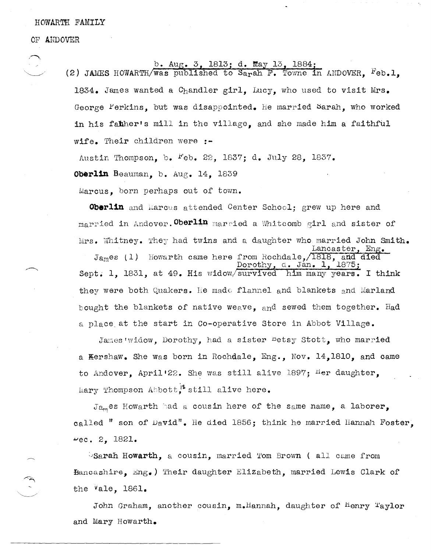HOWARTH FAMILY

OF ANDOVER

## 1813; d. May 13, 1884;

(2) JAMES HOWARTH/was published to Sarah F. Towne in ANDOVER,  $F_{eb.1,}$ 1834. James wanted a Chandler girl, Lucy, who used to visit Mrs. George Ferkins, but was disappointed. He married Sarah, who worked in his fahher's mill in the village, and she made him a faithful wife. Their children were **:-**

Austin Thompson, b.  $F$ eb. 22, 1837; d. July 28, 1837.

**Oberlin** Beauman, b. Aug. 14, 1839

Marcus, born perhaps out of tovm.

**Oberlin** and Marcus attended Center School; grew up here and married in Andover. Oberlin married a Whitcomb girl and sister of Mrs. Whitney. They had twins and a daughter who married John Smith.  $\texttt{Lancaster, Eng.}$  $J_{A_m}$ es (1) Howarth came here from Rochdale, 1818, and died<br>Dorothy, d. Jan. 1, 1875; d. Jan. 1. Sept. 1, 1831, at 49. His widow/survived him many years. I think they were both Quakers. He made flannel and blankets and Marland bought the blankets of native weave, and sewed them together. Had a place, at the start in Co-operative Store in Abbot Village.

James Widow, Dorothy, had a sister betsy Stott, who married a Kershaw. She Was born in Rochdale, Eng., Nov. 14,1810, and came to Andover, April 22. She was still alive 1897; Her daughter, Mary Thompson Abbott.<sup>18</sup> still alive here.

 $J_{a_{m}}$ es Howarth had a cousin here of the same name, a laborer, called " son of  $Dayid$ ". He died 1856; think he married Hannah Foster,  $-ee. 2, 1821.$ 

:~Sarah Howarth, a cousin, married *'1'om* Brovm ( all curne from Hancashire, Eng.) Their daughter Elizabeth, married Lewis Clark of the vale, 1861.

John Graham, another cousin, m.Hannah, daughter of Henry Taylor and Mary Howarth.